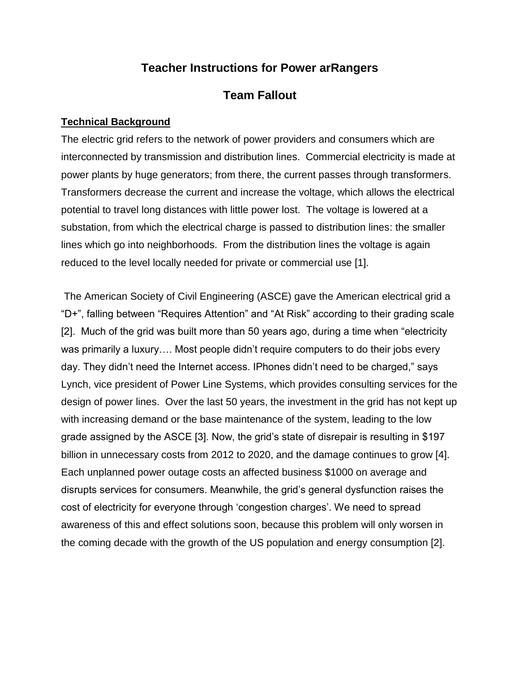### **Teacher Instructions for Power arRangers**

### **Team Fallout**

#### **Technical Background**

The electric grid refers to the network of power providers and consumers which are interconnected by transmission and distribution lines. Commercial electricity is made at power plants by huge generators; from there, the current passes through transformers. Transformers decrease the current and increase the voltage, which allows the electrical potential to travel long distances with little power lost. The voltage is lowered at a substation, from which the electrical charge is passed to distribution lines: the smaller lines which go into neighborhoods. From the distribution lines the voltage is again reduced to the level locally needed for private or commercial use [1].

The American Society of Civil Engineering (ASCE) gave the American electrical grid a "D+", falling between "Requires Attention" and "At Risk" according to their grading scale [2]. Much of the grid was built more than 50 years ago, during a time when "electricity was primarily a luxury…. Most people didn't require computers to do their jobs every day. They didn't need the Internet access. IPhones didn't need to be charged," says Lynch, vice president of Power Line Systems, which provides consulting services for the design of power lines. Over the last 50 years, the investment in the grid has not kept up with increasing demand or the base maintenance of the system, leading to the low grade assigned by the ASCE [3]. Now, the grid's state of disrepair is resulting in \$197 billion in unnecessary costs from 2012 to 2020, and the damage continues to grow [4]. Each unplanned power outage costs an affected business \$1000 on average and disrupts services for consumers. Meanwhile, the grid's general dysfunction raises the cost of electricity for everyone through 'congestion charges'. We need to spread awareness of this and effect solutions soon, because this problem will only worsen in the coming decade with the growth of the US population and energy consumption [2].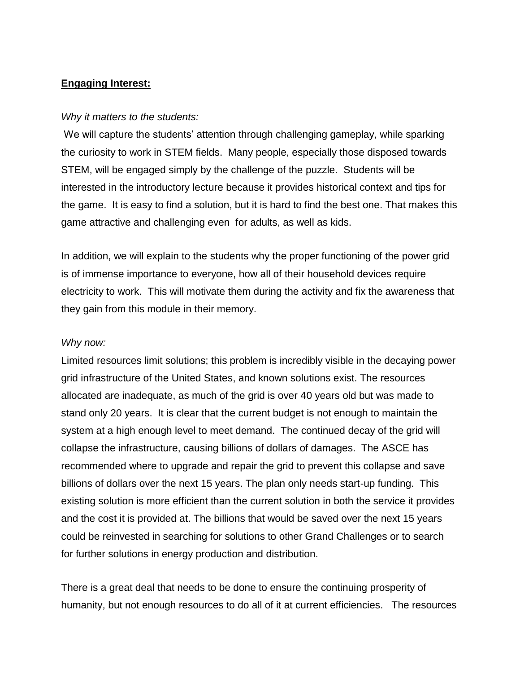### **Engaging Interest:**

#### *Why it matters to the students:*

We will capture the students' attention through challenging gameplay, while sparking the curiosity to work in STEM fields. Many people, especially those disposed towards STEM, will be engaged simply by the challenge of the puzzle. Students will be interested in the introductory lecture because it provides historical context and tips for the game. It is easy to find a solution, but it is hard to find the best one. That makes this game attractive and challenging even for adults, as well as kids.

In addition, we will explain to the students why the proper functioning of the power grid is of immense importance to everyone, how all of their household devices require electricity to work. This will motivate them during the activity and fix the awareness that they gain from this module in their memory.

#### *Why now:*

Limited resources limit solutions; this problem is incredibly visible in the decaying power grid infrastructure of the United States, and known solutions exist. The resources allocated are inadequate, as much of the grid is over 40 years old but was made to stand only 20 years. It is clear that the current budget is not enough to maintain the system at a high enough level to meet demand. The continued decay of the grid will collapse the infrastructure, causing billions of dollars of damages. The ASCE has recommended where to upgrade and repair the grid to prevent this collapse and save billions of dollars over the next 15 years. The plan only needs start-up funding. This existing solution is more efficient than the current solution in both the service it provides and the cost it is provided at. The billions that would be saved over the next 15 years could be reinvested in searching for solutions to other Grand Challenges or to search for further solutions in energy production and distribution.

There is a great deal that needs to be done to ensure the continuing prosperity of humanity, but not enough resources to do all of it at current efficiencies. The resources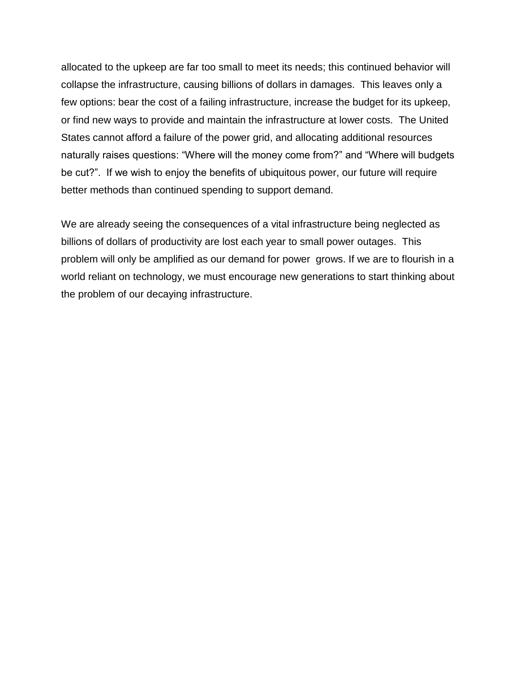allocated to the upkeep are far too small to meet its needs; this continued behavior will collapse the infrastructure, causing billions of dollars in damages. This leaves only a few options: bear the cost of a failing infrastructure, increase the budget for its upkeep, or find new ways to provide and maintain the infrastructure at lower costs. The United States cannot afford a failure of the power grid, and allocating additional resources naturally raises questions: "Where will the money come from?" and "Where will budgets be cut?". If we wish to enjoy the benefits of ubiquitous power, our future will require better methods than continued spending to support demand.

We are already seeing the consequences of a vital infrastructure being neglected as billions of dollars of productivity are lost each year to small power outages. This problem will only be amplified as our demand for power grows. If we are to flourish in a world reliant on technology, we must encourage new generations to start thinking about the problem of our decaying infrastructure.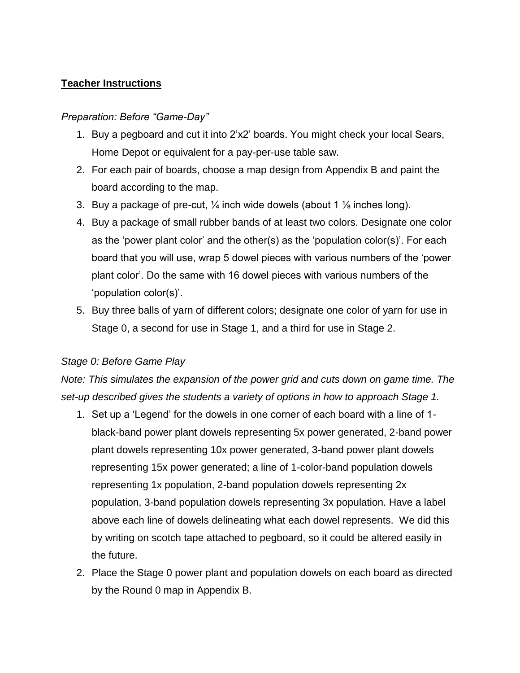### **Teacher Instructions**

#### *Preparation: Before "Game-Day"*

- 1. Buy a pegboard and cut it into 2'x2' boards. You might check your local Sears, Home Depot or equivalent for a pay-per-use table saw.
- 2. For each pair of boards, choose a map design from Appendix B and paint the board according to the map.
- 3. Buy a package of pre-cut,  $\frac{1}{4}$  inch wide dowels (about 1  $\frac{1}{8}$  inches long).
- 4. Buy a package of small rubber bands of at least two colors. Designate one color as the 'power plant color' and the other(s) as the 'population color(s)'. For each board that you will use, wrap 5 dowel pieces with various numbers of the 'power plant color'. Do the same with 16 dowel pieces with various numbers of the 'population color(s)'.
- 5. Buy three balls of yarn of different colors; designate one color of yarn for use in Stage 0, a second for use in Stage 1, and a third for use in Stage 2.

### *Stage 0: Before Game Play*

*Note: This simulates the expansion of the power grid and cuts down on game time. The set-up described gives the students a variety of options in how to approach Stage 1.*

- 1. Set up a 'Legend' for the dowels in one corner of each board with a line of 1 black-band power plant dowels representing 5x power generated, 2-band power plant dowels representing 10x power generated, 3-band power plant dowels representing 15x power generated; a line of 1-color-band population dowels representing 1x population, 2-band population dowels representing 2x population, 3-band population dowels representing 3x population. Have a label above each line of dowels delineating what each dowel represents. We did this by writing on scotch tape attached to pegboard, so it could be altered easily in the future.
- 2. Place the Stage 0 power plant and population dowels on each board as directed by the Round 0 map in Appendix B.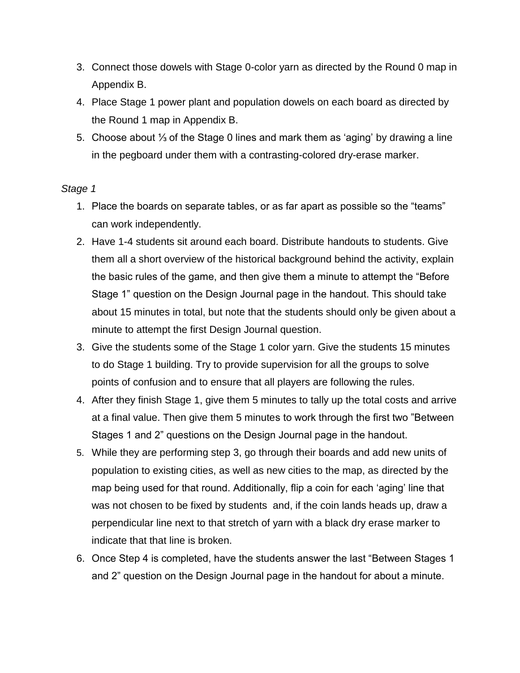- 3. Connect those dowels with Stage 0-color yarn as directed by the Round 0 map in Appendix B.
- 4. Place Stage 1 power plant and population dowels on each board as directed by the Round 1 map in Appendix B.
- 5. Choose about ⅓ of the Stage 0 lines and mark them as 'aging' by drawing a line in the pegboard under them with a contrasting-colored dry-erase marker.

### *Stage 1*

- 1. Place the boards on separate tables, or as far apart as possible so the "teams" can work independently.
- 2. Have 1-4 students sit around each board. Distribute handouts to students. Give them all a short overview of the historical background behind the activity, explain the basic rules of the game, and then give them a minute to attempt the "Before Stage 1" question on the Design Journal page in the handout. This should take about 15 minutes in total, but note that the students should only be given about a minute to attempt the first Design Journal question.
- 3. Give the students some of the Stage 1 color yarn. Give the students 15 minutes to do Stage 1 building. Try to provide supervision for all the groups to solve points of confusion and to ensure that all players are following the rules.
- 4. After they finish Stage 1, give them 5 minutes to tally up the total costs and arrive at a final value. Then give them 5 minutes to work through the first two "Between Stages 1 and 2" questions on the Design Journal page in the handout.
- 5. While they are performing step 3, go through their boards and add new units of population to existing cities, as well as new cities to the map, as directed by the map being used for that round. Additionally, flip a coin for each 'aging' line that was not chosen to be fixed by students and, if the coin lands heads up, draw a perpendicular line next to that stretch of yarn with a black dry erase marker to indicate that that line is broken.
- 6. Once Step 4 is completed, have the students answer the last "Between Stages 1 and 2" question on the Design Journal page in the handout for about a minute.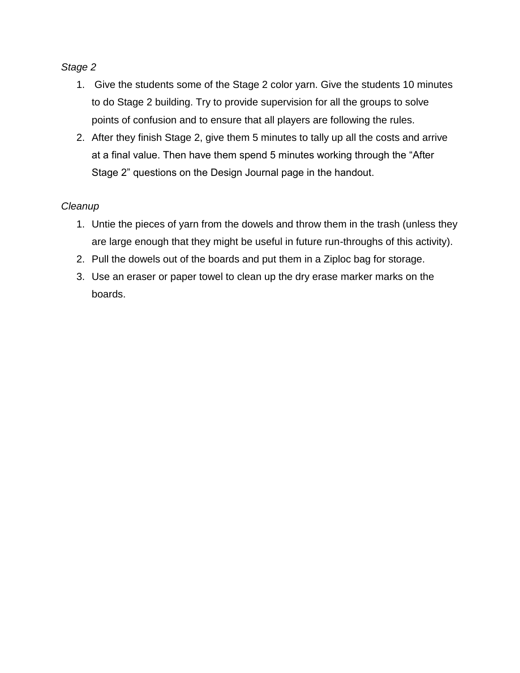#### *Stage 2*

- 1. Give the students some of the Stage 2 color yarn. Give the students 10 minutes to do Stage 2 building. Try to provide supervision for all the groups to solve points of confusion and to ensure that all players are following the rules.
- 2. After they finish Stage 2, give them 5 minutes to tally up all the costs and arrive at a final value. Then have them spend 5 minutes working through the "After Stage 2" questions on the Design Journal page in the handout.

### *Cleanup*

- 1. Untie the pieces of yarn from the dowels and throw them in the trash (unless they are large enough that they might be useful in future run-throughs of this activity).
- 2. Pull the dowels out of the boards and put them in a Ziploc bag for storage.
- 3. Use an eraser or paper towel to clean up the dry erase marker marks on the boards.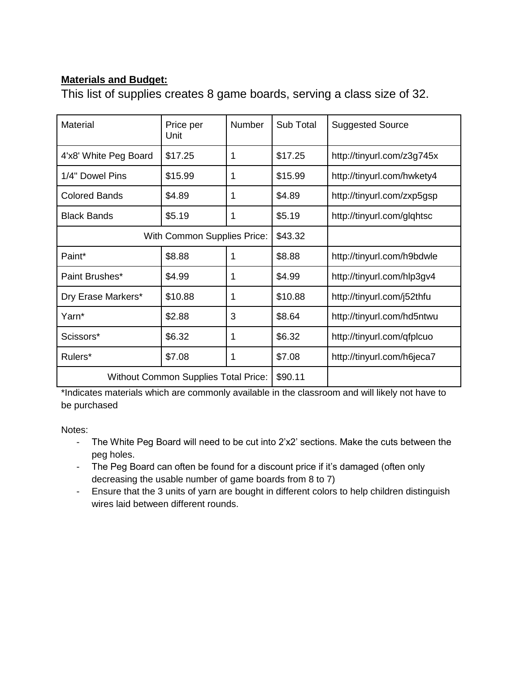### **Materials and Budget:**

This list of supplies creates 8 game boards, serving a class size of 32.

| <b>Material</b>       | Price per<br>Unit                           | <b>Number</b> | Sub Total | <b>Suggested Source</b>    |
|-----------------------|---------------------------------------------|---------------|-----------|----------------------------|
| 4'x8' White Peg Board | \$17.25                                     | 1             | \$17.25   | http://tinyurl.com/z3g745x |
| 1/4" Dowel Pins       | \$15.99                                     | 1             | \$15.99   | http://tinyurl.com/hwkety4 |
| <b>Colored Bands</b>  | \$4.89                                      | 1             | \$4.89    | http://tinyurl.com/zxp5gsp |
| <b>Black Bands</b>    | \$5.19                                      | 1             | \$5.19    | http://tinyurl.com/glqhtsc |
|                       | With Common Supplies Price:                 | \$43.32       |           |                            |
| Paint*                | \$8.88                                      | 1             | \$8.88    | http://tinyurl.com/h9bdwle |
| Paint Brushes*        | \$4.99<br>1                                 |               | \$4.99    | http://tinyurl.com/hlp3gv4 |
| Dry Erase Markers*    | \$10.88<br>1                                |               | \$10.88   | http://tinyurl.com/j52thfu |
| Yarn*                 | \$2.88<br>3                                 |               | \$8.64    | http://tinyurl.com/hd5ntwu |
| Scissors*             | \$6.32                                      | 1             | \$6.32    | http://tinyurl.com/qfplcuo |
| Rulers*               | \$7.08                                      | 1             | \$7.08    | http://tinyurl.com/h6jeca7 |
|                       | <b>Without Common Supplies Total Price:</b> | \$90.11       |           |                            |

\*Indicates materials which are commonly available in the classroom and will likely not have to be purchased

Notes:

- The White Peg Board will need to be cut into 2'x2' sections. Make the cuts between the peg holes.
- The Peg Board can often be found for a discount price if it's damaged (often only decreasing the usable number of game boards from 8 to 7)
- Ensure that the 3 units of yarn are bought in different colors to help children distinguish wires laid between different rounds.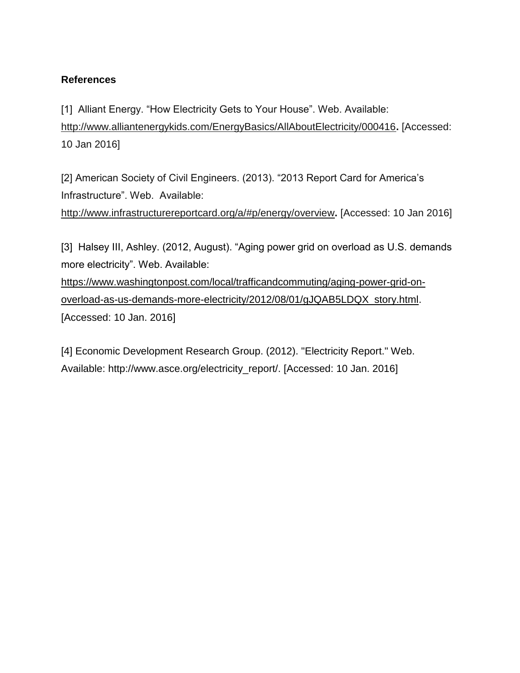### **References**

[1] Alliant Energy. "How Electricity Gets to Your House". Web. Available: <http://www.alliantenergykids.com/EnergyBasics/AllAboutElectricity/000416>**[.](http://www.alliantenergykids.com/EnergyBasics/AllAboutElectricity/000416)** [\[Accessed:](http://www.alliantenergykids.com/EnergyBasics/AllAboutElectricity/000416) [10](http://www.alliantenergykids.com/EnergyBasics/AllAboutElectricity/000416) [Jan](http://www.alliantenergykids.com/EnergyBasics/AllAboutElectricity/000416) [2016\]](http://www.alliantenergykids.com/EnergyBasics/AllAboutElectricity/000416)

[2] American Society of Civil Engineers. (2013). "2013 Report Card for America's Infrastructure". Web. Available:

<http://www.infrastructurereportcard.org/a/#p/energy/overview>**[.](http://www.infrastructurereportcard.org/a/#p/energy/overview)** [\[Accessed:](http://www.infrastructurereportcard.org/a/#p/energy/overview) [10](http://www.infrastructurereportcard.org/a/#p/energy/overview) [Jan](http://www.infrastructurereportcard.org/a/#p/energy/overview) [2016\]](http://www.infrastructurereportcard.org/a/#p/energy/overview)

[3] Halsey III, Ashley. (2012, August). "Aging power grid on overload as U.S. demands more electricity". Web. Available:

[https://www.washingtonpost.com/local/trafficandcommuting/aging-power-grid-on](https://www.washingtonpost.com/local/trafficandcommuting/aging-power-grid-on-overload-as-us-demands-more-electricity/2012/08/01/gJQAB5LDQX_story.html)[overload-as-us-demands-more-electricity/2012/08/01/gJQAB5LDQX\\_story.html.](https://www.washingtonpost.com/local/trafficandcommuting/aging-power-grid-on-overload-as-us-demands-more-electricity/2012/08/01/gJQAB5LDQX_story.html) [\[Accessed: 10 Jan. 2016\]](https://www.washingtonpost.com/local/trafficandcommuting/aging-power-grid-on-overload-as-us-demands-more-electricity/2012/08/01/gJQAB5LDQX_story.html)

[4] Economic Development Research Group. (2012). "Electricity Report." Web. Available: http://www.asce.org/electricity\_report/. [Accessed: 10 Jan. 2016]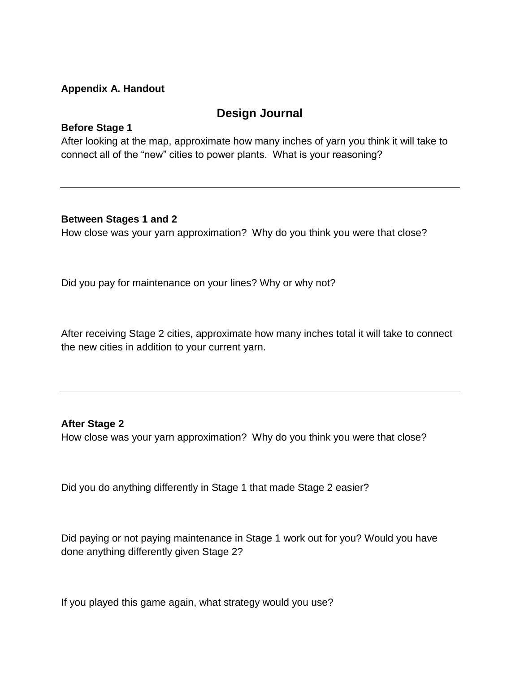#### **Appendix A. Handout**

### **Design Journal**

#### **Before Stage 1**

After looking at the map, approximate how many inches of yarn you think it will take to connect all of the "new" cities to power plants. What is your reasoning?

#### **Between Stages 1 and 2**

How close was your yarn approximation? Why do you think you were that close?

Did you pay for maintenance on your lines? Why or why not?

After receiving Stage 2 cities, approximate how many inches total it will take to connect the new cities in addition to your current yarn.

#### **After Stage 2**

How close was your yarn approximation? Why do you think you were that close?

Did you do anything differently in Stage 1 that made Stage 2 easier?

Did paying or not paying maintenance in Stage 1 work out for you? Would you have done anything differently given Stage 2?

If you played this game again, what strategy would you use?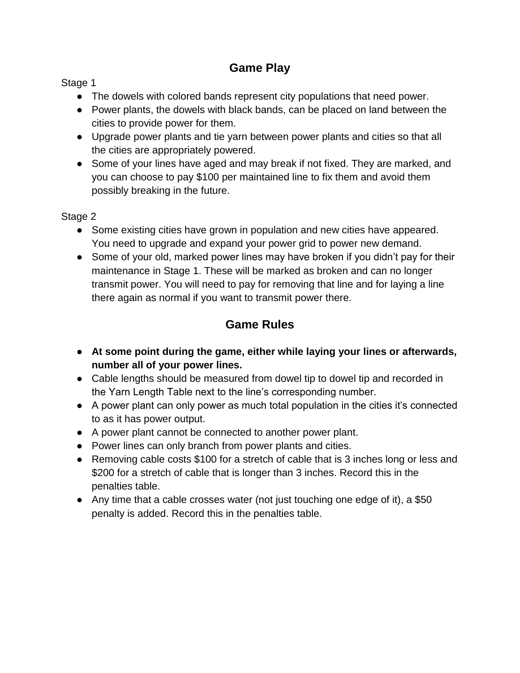### **Game Play**

Stage 1

- The dowels with colored bands represent city populations that need power.
- Power plants, the dowels with black bands, can be placed on land between the cities to provide power for them.
- Upgrade power plants and tie yarn between power plants and cities so that all the cities are appropriately powered.
- Some of your lines have aged and may break if not fixed. They are marked, and you can choose to pay \$100 per maintained line to fix them and avoid them possibly breaking in the future.

Stage 2

- Some existing cities have grown in population and new cities have appeared. You need to upgrade and expand your power grid to power new demand.
- Some of your old, marked power lines may have broken if you didn't pay for their maintenance in Stage 1. These will be marked as broken and can no longer transmit power. You will need to pay for removing that line and for laying a line there again as normal if you want to transmit power there.

# **Game Rules**

- **At some point during the game, either while laying your lines or afterwards, number all of your power lines.**
- Cable lengths should be measured from dowel tip to dowel tip and recorded in the Yarn Length Table next to the line's corresponding number.
- A power plant can only power as much total population in the cities it's connected to as it has power output.
- A power plant cannot be connected to another power plant.
- Power lines can only branch from power plants and cities.
- Removing cable costs \$100 for a stretch of cable that is 3 inches long or less and \$200 for a stretch of cable that is longer than 3 inches. Record this in the penalties table.
- Any time that a cable crosses water (not just touching one edge of it), a \$50 penalty is added. Record this in the penalties table.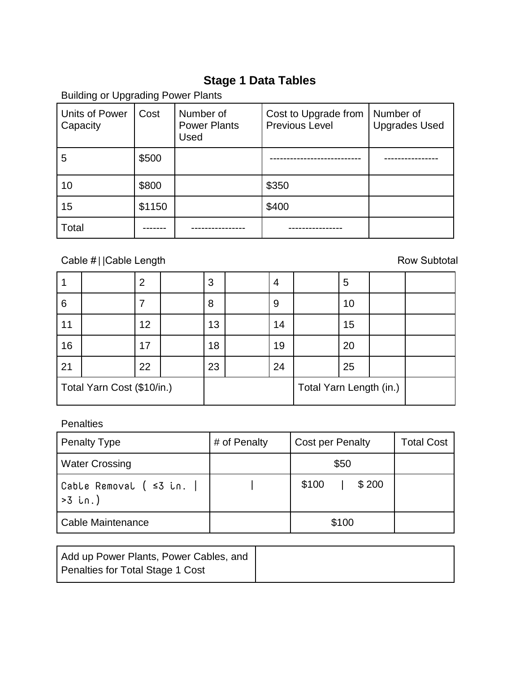## **Stage 1 Data Tables**

Building or Upgrading Power Plants Units of Power **Capacity** Cost | Number of Power Plants Used Cost to Upgrade from Previous Level Number of Upgrades Used 5 \$500 --------------------------- ---------------- 10 | \$800 | \$350 15  $\vert$  \$1150  $\vert$  \$400 Total ------- ---------------- ----------------

Cable #||Cable Length Row Subtotal

|                            |  | $\overline{2}$ |  | 3                       | 4  |  | 5  |  |
|----------------------------|--|----------------|--|-------------------------|----|--|----|--|
| 6                          |  |                |  | 8                       | 9  |  | 10 |  |
| 11                         |  | 12             |  | 13                      | 14 |  | 15 |  |
| 16                         |  | 17             |  | 18                      | 19 |  | 20 |  |
| 21                         |  | 22             |  | 23                      | 24 |  | 25 |  |
| Total Yarn Cost (\$10/in.) |  |                |  | Total Yarn Length (in.) |    |  |    |  |

**Penalties** 

| <b>Penalty Type</b>                         | # of Penalty | <b>Cost per Penalty</b> | <b>Total Cost</b> |
|---------------------------------------------|--------------|-------------------------|-------------------|
| <b>Water Crossing</b>                       |              | \$50                    |                   |
| Cable Removal ( $\leq 3$ in.  <br>$>3$ in.) |              | \$200<br>\$100          |                   |
| Cable Maintenance                           |              | \$100                   |                   |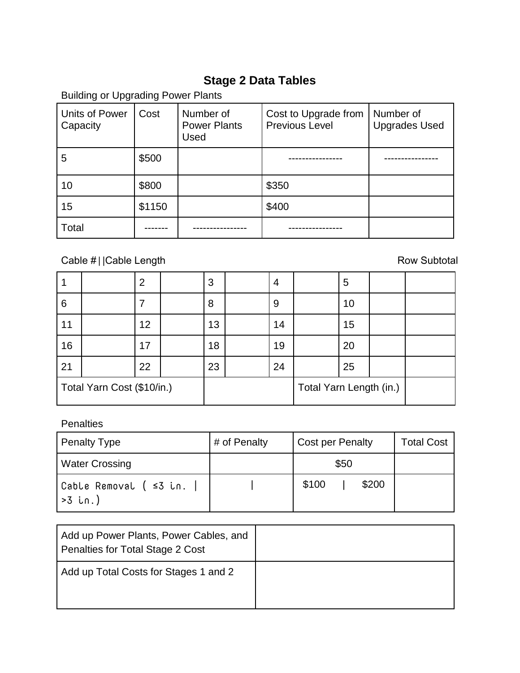# **Stage 2 Data Tables**

| <b>Units of Power</b><br>Capacity | Cost   | Number of<br><b>Power Plants</b><br>Used | Cost to Upgrade from<br><b>Previous Level</b> | Number of<br><b>Upgrades Used</b> |
|-----------------------------------|--------|------------------------------------------|-----------------------------------------------|-----------------------------------|
| 5                                 | \$500  |                                          |                                               |                                   |
| 10                                | \$800  |                                          | \$350                                         |                                   |
| 15                                | \$1150 |                                          | \$400                                         |                                   |
| Total                             |        |                                          |                                               |                                   |

Building or Upgrading Power Plants

# Cable #||Cable Length Row Subtotal

|                            |  | 2  |  | 3                       | 4  |  | 5  |  |
|----------------------------|--|----|--|-------------------------|----|--|----|--|
| 6                          |  |    |  | 8                       | 9  |  | 10 |  |
| 11                         |  | 12 |  | 13                      | 14 |  | 15 |  |
| 16                         |  | 17 |  | 18                      | 19 |  | 20 |  |
| 21                         |  | 22 |  | 23                      | 24 |  | 25 |  |
| Total Yarn Cost (\$10/in.) |  |    |  | Total Yarn Length (in.) |    |  |    |  |

### **Penalties**

| <b>Penalty Type</b>                | # of Penalty | <b>Cost per Penalty</b> | <b>Total Cost</b> |
|------------------------------------|--------------|-------------------------|-------------------|
| <b>Water Crossing</b>              |              | \$50                    |                   |
| Cable Removal ( ≤3 in.<br> >3 in.) |              | \$100<br>\$200          |                   |

| Add up Power Plants, Power Cables, and<br>Penalties for Total Stage 2 Cost |  |
|----------------------------------------------------------------------------|--|
| Add up Total Costs for Stages 1 and 2                                      |  |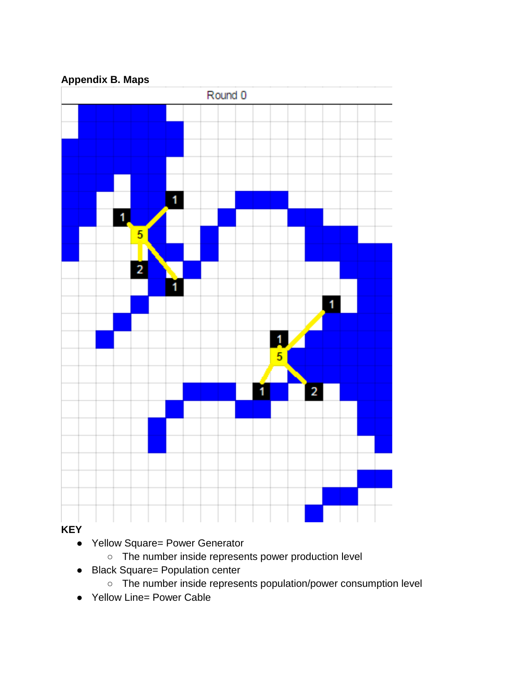**Appendix B. Maps**



### **KEY**

- Yellow Square= Power Generator
	- The number inside represents power production level
- Black Square= Population center
	- The number inside represents population/power consumption level
- Yellow Line= Power Cable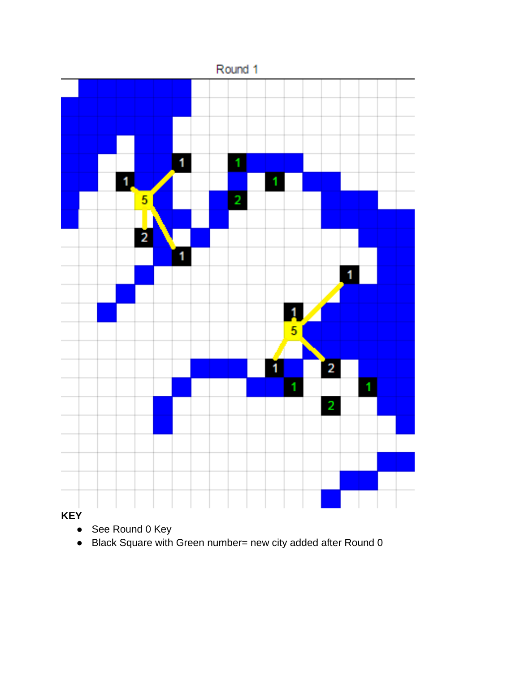

**KEY**

- See Round 0 Key
- Black Square with Green number= new city added after Round 0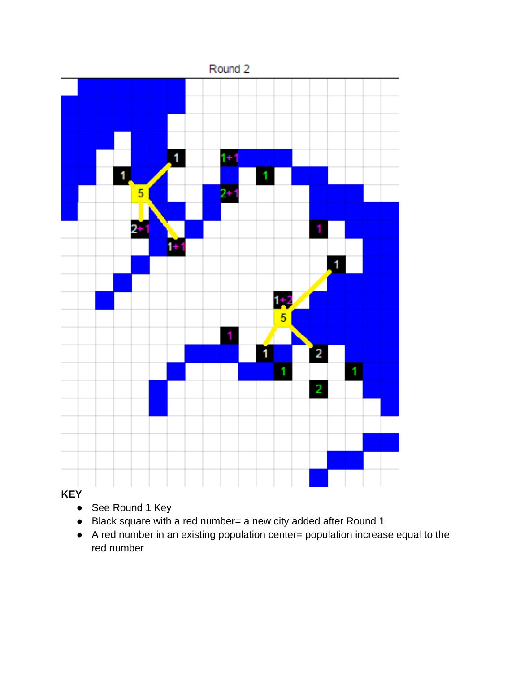

### **KEY**

- See Round 1 Key
- Black square with a red number= a new city added after Round 1
- A red number in an existing population center= population increase equal to the red number